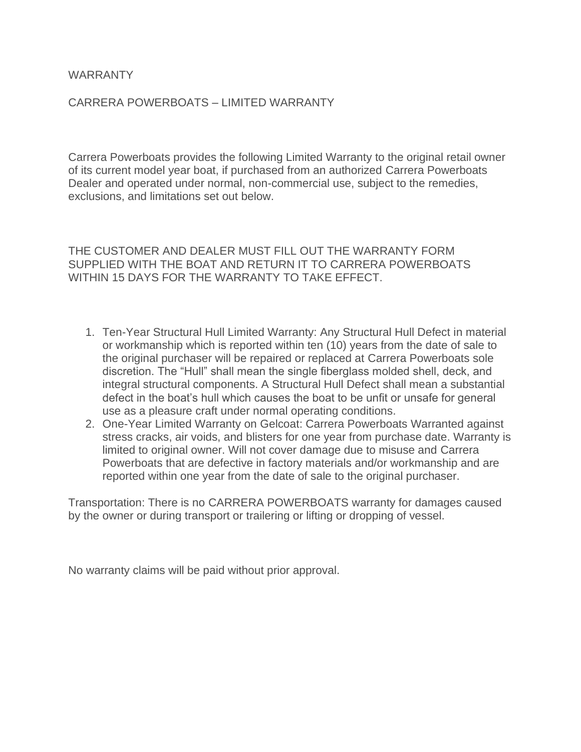WARRANTY

#### CARRERA POWERBOATS – LIMITED WARRANTY

Carrera Powerboats provides the following Limited Warranty to the original retail owner of its current model year boat, if purchased from an authorized Carrera Powerboats Dealer and operated under normal, non-commercial use, subject to the remedies, exclusions, and limitations set out below.

THE CUSTOMER AND DEALER MUST FILL OUT THE WARRANTY FORM SUPPLIED WITH THE BOAT AND RETURN IT TO CARRERA POWERBOATS WITHIN 15 DAYS FOR THE WARRANTY TO TAKE EFFECT.

- 1. Ten-Year Structural Hull Limited Warranty: Any Structural Hull Defect in material or workmanship which is reported within ten (10) years from the date of sale to the original purchaser will be repaired or replaced at Carrera Powerboats sole discretion. The "Hull" shall mean the single fiberglass molded shell, deck, and integral structural components. A Structural Hull Defect shall mean a substantial defect in the boat's hull which causes the boat to be unfit or unsafe for general use as a pleasure craft under normal operating conditions.
- 2. One-Year Limited Warranty on Gelcoat: Carrera Powerboats Warranted against stress cracks, air voids, and blisters for one year from purchase date. Warranty is limited to original owner. Will not cover damage due to misuse and Carrera Powerboats that are defective in factory materials and/or workmanship and are reported within one year from the date of sale to the original purchaser.

Transportation: There is no CARRERA POWERBOATS warranty for damages caused by the owner or during transport or trailering or lifting or dropping of vessel.

No warranty claims will be paid without prior approval.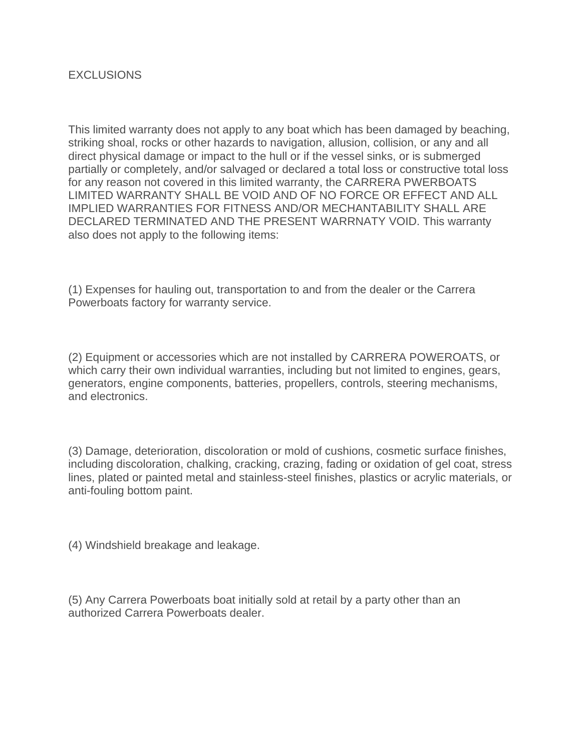## **EXCLUSIONS**

This limited warranty does not apply to any boat which has been damaged by beaching, striking shoal, rocks or other hazards to navigation, allusion, collision, or any and all direct physical damage or impact to the hull or if the vessel sinks, or is submerged partially or completely, and/or salvaged or declared a total loss or constructive total loss for any reason not covered in this limited warranty, the CARRERA PWERBOATS LIMITED WARRANTY SHALL BE VOID AND OF NO FORCE OR EFFECT AND ALL IMPLIED WARRANTIES FOR FITNESS AND/OR MECHANTABILITY SHALL ARE DECLARED TERMINATED AND THE PRESENT WARRNATY VOID. This warranty also does not apply to the following items:

(1) Expenses for hauling out, transportation to and from the dealer or the Carrera Powerboats factory for warranty service.

(2) Equipment or accessories which are not installed by CARRERA POWEROATS, or which carry their own individual warranties, including but not limited to engines, gears, generators, engine components, batteries, propellers, controls, steering mechanisms, and electronics.

(3) Damage, deterioration, discoloration or mold of cushions, cosmetic surface finishes, including discoloration, chalking, cracking, crazing, fading or oxidation of gel coat, stress lines, plated or painted metal and stainless-steel finishes, plastics or acrylic materials, or anti-fouling bottom paint.

(4) Windshield breakage and leakage.

(5) Any Carrera Powerboats boat initially sold at retail by a party other than an authorized Carrera Powerboats dealer.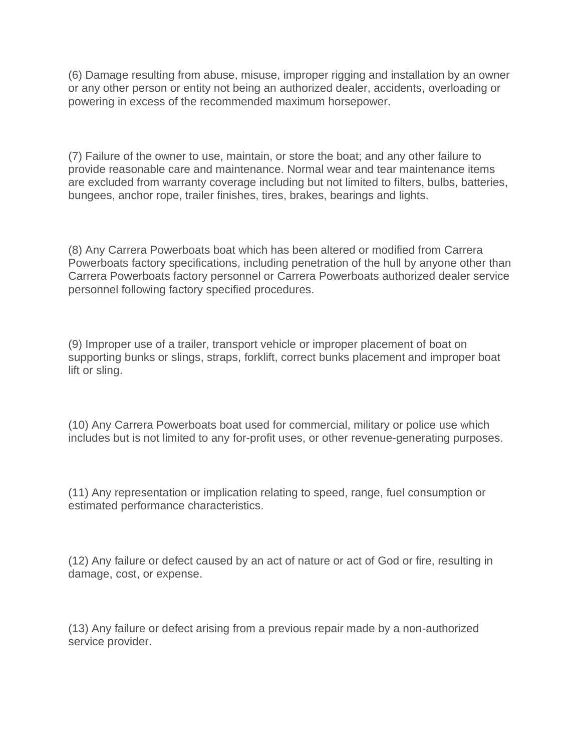(6) Damage resulting from abuse, misuse, improper rigging and installation by an owner or any other person or entity not being an authorized dealer, accidents, overloading or powering in excess of the recommended maximum horsepower.

(7) Failure of the owner to use, maintain, or store the boat; and any other failure to provide reasonable care and maintenance. Normal wear and tear maintenance items are excluded from warranty coverage including but not limited to filters, bulbs, batteries, bungees, anchor rope, trailer finishes, tires, brakes, bearings and lights.

(8) Any Carrera Powerboats boat which has been altered or modified from Carrera Powerboats factory specifications, including penetration of the hull by anyone other than Carrera Powerboats factory personnel or Carrera Powerboats authorized dealer service personnel following factory specified procedures.

(9) Improper use of a trailer, transport vehicle or improper placement of boat on supporting bunks or slings, straps, forklift, correct bunks placement and improper boat lift or sling.

(10) Any Carrera Powerboats boat used for commercial, military or police use which includes but is not limited to any for-profit uses, or other revenue-generating purposes.

(11) Any representation or implication relating to speed, range, fuel consumption or estimated performance characteristics.

(12) Any failure or defect caused by an act of nature or act of God or fire, resulting in damage, cost, or expense.

(13) Any failure or defect arising from a previous repair made by a non-authorized service provider.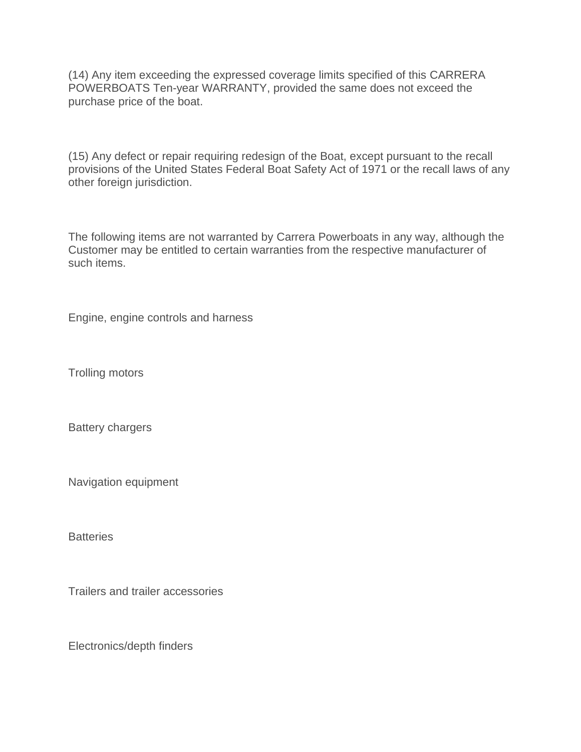(14) Any item exceeding the expressed coverage limits specified of this CARRERA POWERBOATS Ten-year WARRANTY, provided the same does not exceed the purchase price of the boat.

(15) Any defect or repair requiring redesign of the Boat, except pursuant to the recall provisions of the United States Federal Boat Safety Act of 1971 or the recall laws of any other foreign jurisdiction.

The following items are not warranted by Carrera Powerboats in any way, although the Customer may be entitled to certain warranties from the respective manufacturer of such items.

Engine, engine controls and harness

Trolling motors

Battery chargers

Navigation equipment

**Batteries** 

Trailers and trailer accessories

Electronics/depth finders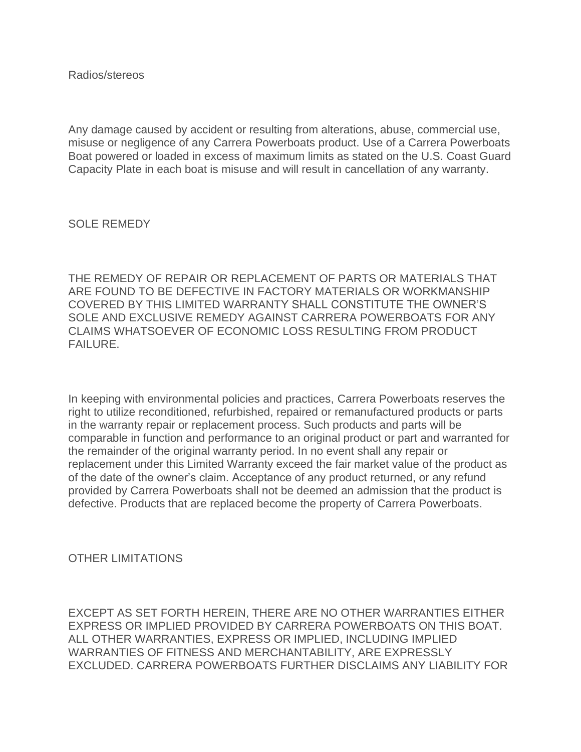Radios/stereos

Any damage caused by accident or resulting from alterations, abuse, commercial use, misuse or negligence of any Carrera Powerboats product. Use of a Carrera Powerboats Boat powered or loaded in excess of maximum limits as stated on the U.S. Coast Guard Capacity Plate in each boat is misuse and will result in cancellation of any warranty.

SOLE REMEDY

THE REMEDY OF REPAIR OR REPLACEMENT OF PARTS OR MATERIALS THAT ARE FOUND TO BE DEFECTIVE IN FACTORY MATERIALS OR WORKMANSHIP COVERED BY THIS LIMITED WARRANTY SHALL CONSTITUTE THE OWNER'S SOLE AND EXCLUSIVE REMEDY AGAINST CARRERA POWERBOATS FOR ANY CLAIMS WHATSOEVER OF ECONOMIC LOSS RESULTING FROM PRODUCT FAILURE.

In keeping with environmental policies and practices, Carrera Powerboats reserves the right to utilize reconditioned, refurbished, repaired or remanufactured products or parts in the warranty repair or replacement process. Such products and parts will be comparable in function and performance to an original product or part and warranted for the remainder of the original warranty period. In no event shall any repair or replacement under this Limited Warranty exceed the fair market value of the product as of the date of the owner's claim. Acceptance of any product returned, or any refund provided by Carrera Powerboats shall not be deemed an admission that the product is defective. Products that are replaced become the property of Carrera Powerboats.

OTHER LIMITATIONS

EXCEPT AS SET FORTH HEREIN, THERE ARE NO OTHER WARRANTIES EITHER EXPRESS OR IMPLIED PROVIDED BY CARRERA POWERBOATS ON THIS BOAT. ALL OTHER WARRANTIES, EXPRESS OR IMPLIED, INCLUDING IMPLIED WARRANTIES OF FITNESS AND MERCHANTABILITY, ARE EXPRESSLY EXCLUDED. CARRERA POWERBOATS FURTHER DISCLAIMS ANY LIABILITY FOR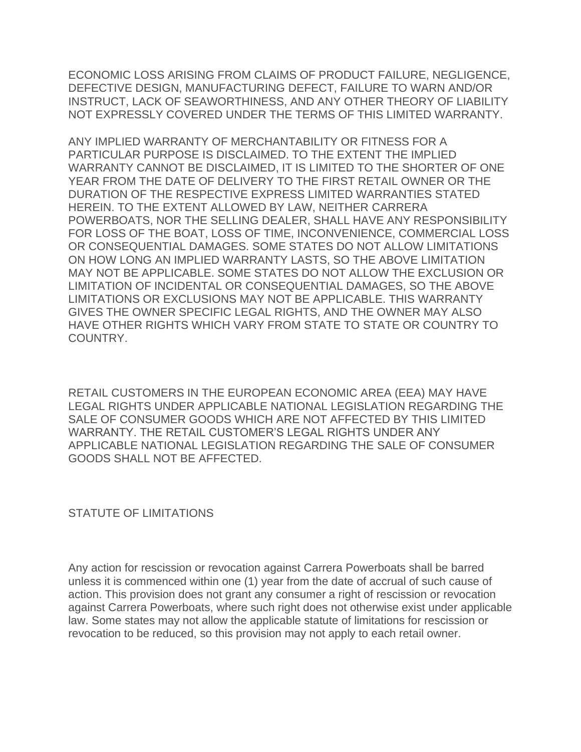ECONOMIC LOSS ARISING FROM CLAIMS OF PRODUCT FAILURE, NEGLIGENCE, DEFECTIVE DESIGN, MANUFACTURING DEFECT, FAILURE TO WARN AND/OR INSTRUCT, LACK OF SEAWORTHINESS, AND ANY OTHER THEORY OF LIABILITY NOT EXPRESSLY COVERED UNDER THE TERMS OF THIS LIMITED WARRANTY.

ANY IMPLIED WARRANTY OF MERCHANTABILITY OR FITNESS FOR A PARTICULAR PURPOSE IS DISCLAIMED. TO THE EXTENT THE IMPLIED WARRANTY CANNOT BE DISCLAIMED, IT IS LIMITED TO THE SHORTER OF ONE YEAR FROM THE DATE OF DELIVERY TO THE FIRST RETAIL OWNER OR THE DURATION OF THE RESPECTIVE EXPRESS LIMITED WARRANTIES STATED HEREIN. TO THE EXTENT ALLOWED BY LAW, NEITHER CARRERA POWERBOATS, NOR THE SELLING DEALER, SHALL HAVE ANY RESPONSIBILITY FOR LOSS OF THE BOAT, LOSS OF TIME, INCONVENIENCE, COMMERCIAL LOSS OR CONSEQUENTIAL DAMAGES. SOME STATES DO NOT ALLOW LIMITATIONS ON HOW LONG AN IMPLIED WARRANTY LASTS, SO THE ABOVE LIMITATION MAY NOT BE APPLICABLE. SOME STATES DO NOT ALLOW THE EXCLUSION OR LIMITATION OF INCIDENTAL OR CONSEQUENTIAL DAMAGES, SO THE ABOVE LIMITATIONS OR EXCLUSIONS MAY NOT BE APPLICABLE. THIS WARRANTY GIVES THE OWNER SPECIFIC LEGAL RIGHTS, AND THE OWNER MAY ALSO HAVE OTHER RIGHTS WHICH VARY FROM STATE TO STATE OR COUNTRY TO COUNTRY.

RETAIL CUSTOMERS IN THE EUROPEAN ECONOMIC AREA (EEA) MAY HAVE LEGAL RIGHTS UNDER APPLICABLE NATIONAL LEGISLATION REGARDING THE SALE OF CONSUMER GOODS WHICH ARE NOT AFFECTED BY THIS LIMITED WARRANTY. THE RETAIL CUSTOMER'S LEGAL RIGHTS UNDER ANY APPLICABLE NATIONAL LEGISLATION REGARDING THE SALE OF CONSUMER GOODS SHALL NOT BE AFFECTED.

## STATUTE OF LIMITATIONS

Any action for rescission or revocation against Carrera Powerboats shall be barred unless it is commenced within one (1) year from the date of accrual of such cause of action. This provision does not grant any consumer a right of rescission or revocation against Carrera Powerboats, where such right does not otherwise exist under applicable law. Some states may not allow the applicable statute of limitations for rescission or revocation to be reduced, so this provision may not apply to each retail owner.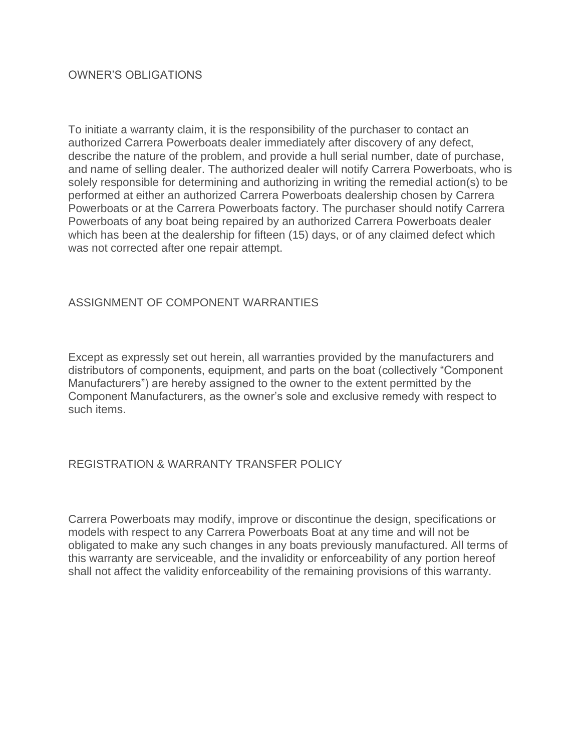## OWNER'S OBLIGATIONS

To initiate a warranty claim, it is the responsibility of the purchaser to contact an authorized Carrera Powerboats dealer immediately after discovery of any defect, describe the nature of the problem, and provide a hull serial number, date of purchase, and name of selling dealer. The authorized dealer will notify Carrera Powerboats, who is solely responsible for determining and authorizing in writing the remedial action(s) to be performed at either an authorized Carrera Powerboats dealership chosen by Carrera Powerboats or at the Carrera Powerboats factory. The purchaser should notify Carrera Powerboats of any boat being repaired by an authorized Carrera Powerboats dealer which has been at the dealership for fifteen (15) days, or of any claimed defect which was not corrected after one repair attempt.

### ASSIGNMENT OF COMPONENT WARRANTIES

Except as expressly set out herein, all warranties provided by the manufacturers and distributors of components, equipment, and parts on the boat (collectively "Component Manufacturers") are hereby assigned to the owner to the extent permitted by the Component Manufacturers, as the owner's sole and exclusive remedy with respect to such items.

### REGISTRATION & WARRANTY TRANSFER POLICY

Carrera Powerboats may modify, improve or discontinue the design, specifications or models with respect to any Carrera Powerboats Boat at any time and will not be obligated to make any such changes in any boats previously manufactured. All terms of this warranty are serviceable, and the invalidity or enforceability of any portion hereof shall not affect the validity enforceability of the remaining provisions of this warranty.